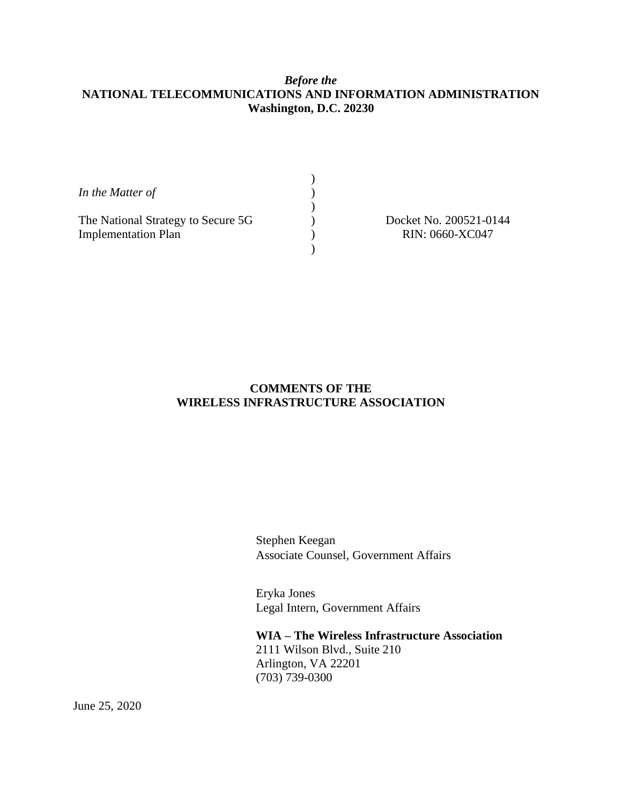# *Before the* **NATIONAL TELECOMMUNICATIONS AND INFORMATION ADMINISTRATION Washington, D.C. 20230**

| In the Matter of                   |                        |
|------------------------------------|------------------------|
|                                    |                        |
| The National Strategy to Secure 5G | Docket No. 200521-0144 |
| <b>Implementation Plan</b>         | RIN: 0660-XC047        |
|                                    |                        |

# **COMMENTS OF THE WIRELESS INFRASTRUCTURE ASSOCIATION**

Stephen Keegan Associate Counsel, Government Affairs

Eryka Jones Legal Intern, Government Affairs

**WIA – The Wireless Infrastructure Association** 2111 Wilson Blvd., Suite 210 Arlington, VA 22201 (703) 739-0300

June 25, 2020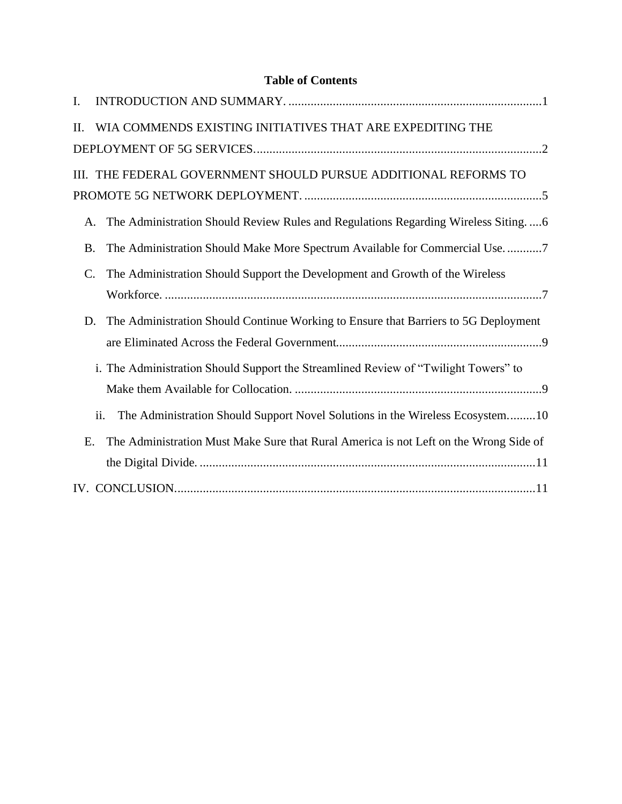# **Table of Contents**

| I.              |                                                                                       |
|-----------------|---------------------------------------------------------------------------------------|
| Η.              | WIA COMMENDS EXISTING INITIATIVES THAT ARE EXPEDITING THE                             |
|                 |                                                                                       |
|                 | III. THE FEDERAL GOVERNMENT SHOULD PURSUE ADDITIONAL REFORMS TO                       |
|                 |                                                                                       |
| A.              | The Administration Should Review Rules and Regulations Regarding Wireless Siting6     |
| <b>B.</b>       | The Administration Should Make More Spectrum Available for Commercial Use7            |
| $\mathcal{C}$ . | The Administration Should Support the Development and Growth of the Wireless          |
|                 |                                                                                       |
| D.              | The Administration Should Continue Working to Ensure that Barriers to 5G Deployment   |
|                 |                                                                                       |
|                 | i. The Administration Should Support the Streamlined Review of "Twilight Towers" to   |
|                 |                                                                                       |
|                 | The Administration Should Support Novel Solutions in the Wireless Ecosystem10<br>ii.  |
| Ε.              | The Administration Must Make Sure that Rural America is not Left on the Wrong Side of |
|                 |                                                                                       |
|                 |                                                                                       |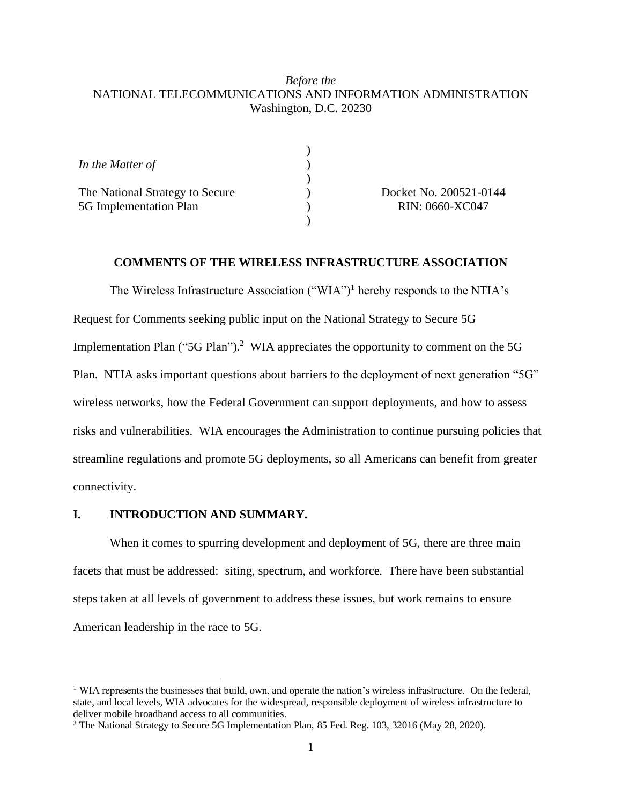### *Before the* NATIONAL TELECOMMUNICATIONS AND INFORMATION ADMINISTRATION Washington, D.C. 20230

| In the Matter of                                          |  |
|-----------------------------------------------------------|--|
| The National Strategy to Secure<br>5G Implementation Plan |  |
|                                                           |  |

Docket No. 200521-0144 RIN: 0660-XC047

### **COMMENTS OF THE WIRELESS INFRASTRUCTURE ASSOCIATION**

The Wireless Infrastructure Association ("WIA")<sup>1</sup> hereby responds to the NTIA's Request for Comments seeking public input on the National Strategy to Secure 5G Implementation Plan ("5G Plan").<sup>2</sup> WIA appreciates the opportunity to comment on the 5G Plan. NTIA asks important questions about barriers to the deployment of next generation "5G" wireless networks, how the Federal Government can support deployments, and how to assess risks and vulnerabilities. WIA encourages the Administration to continue pursuing policies that streamline regulations and promote 5G deployments, so all Americans can benefit from greater connectivity.

#### <span id="page-2-0"></span>**I. INTRODUCTION AND SUMMARY.**

When it comes to spurring development and deployment of 5G, there are three main facets that must be addressed: siting, spectrum, and workforce. There have been substantial steps taken at all levels of government to address these issues, but work remains to ensure American leadership in the race to 5G.

<sup>&</sup>lt;sup>1</sup> WIA represents the businesses that build, own, and operate the nation's wireless infrastructure. On the federal, state, and local levels, WIA advocates for the widespread, responsible deployment of wireless infrastructure to deliver mobile broadband access to all communities.

<sup>2</sup> The National Strategy to Secure 5G Implementation Plan, 85 Fed. Reg. 103, 32016 (May 28, 2020).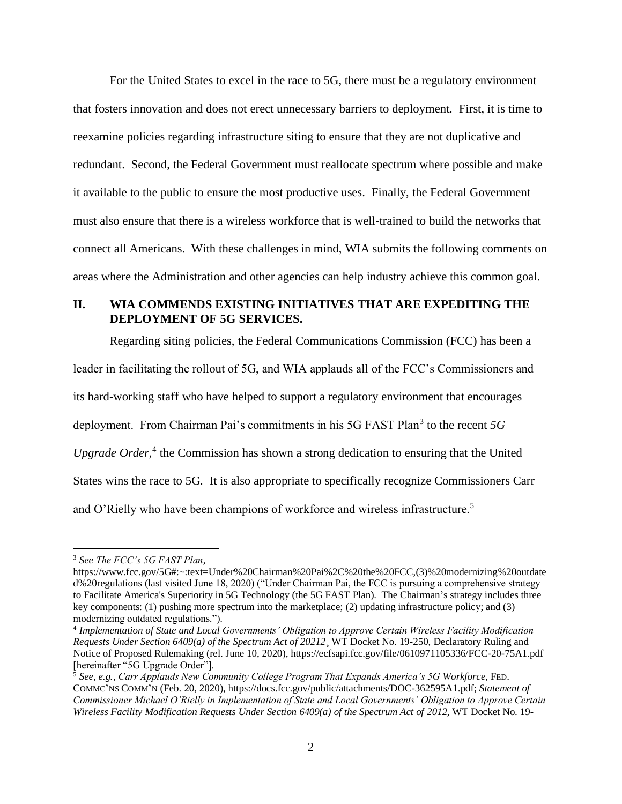For the United States to excel in the race to 5G, there must be a regulatory environment that fosters innovation and does not erect unnecessary barriers to deployment. First, it is time to reexamine policies regarding infrastructure siting to ensure that they are not duplicative and redundant. Second, the Federal Government must reallocate spectrum where possible and make it available to the public to ensure the most productive uses. Finally, the Federal Government must also ensure that there is a wireless workforce that is well-trained to build the networks that connect all Americans. With these challenges in mind, WIA submits the following comments on areas where the Administration and other agencies can help industry achieve this common goal.

### <span id="page-3-0"></span>**II. WIA COMMENDS EXISTING INITIATIVES THAT ARE EXPEDITING THE DEPLOYMENT OF 5G SERVICES.**

Regarding siting policies, the Federal Communications Commission (FCC) has been a

leader in facilitating the rollout of 5G, and WIA applauds all of the FCC's Commissioners and its hard-working staff who have helped to support a regulatory environment that encourages deployment. From Chairman Pai's commitments in his 5G FAST Plan<sup>3</sup> to the recent 5G Upgrade Order,<sup>4</sup> the Commission has shown a strong dedication to ensuring that the United States wins the race to 5G. It is also appropriate to specifically recognize Commissioners Carr and O'Rielly who have been champions of workforce and wireless infrastructure.<sup>5</sup>

<sup>3</sup> *See The FCC's 5G FAST Plan*,

[https://www.fcc.gov/5G#:~:text=Under%20Chairman%20Pai%2C%20the%20FCC,\(3\)%20modernizing%20outdate](https://www.fcc.gov/5G#:~:text=Under%20Chairman%20Pai%2C%20the%20FCC,(3)%20modernizing%20outdated%20regulations) [d%20regulations](https://www.fcc.gov/5G#:~:text=Under%20Chairman%20Pai%2C%20the%20FCC,(3)%20modernizing%20outdated%20regulations) (last visited June 18, 2020) ("Under Chairman Pai, the FCC is pursuing a comprehensive strategy to Facilitate America's Superiority in 5G Technology (the 5G FAST Plan). The Chairman's strategy includes three key components: (1) pushing more spectrum into the marketplace; (2) updating infrastructure policy; and (3) modernizing outdated regulations.").

<sup>4</sup> *Implementation of State and Local Governments' Obligation to Approve Certain Wireless Facility Modification Requests Under Section 6409(a) of the Spectrum Act of 20212*¸ WT Docket No. 19-250, Declaratory Ruling and Notice of Proposed Rulemaking (rel. June 10, 2020), <https://ecfsapi.fcc.gov/file/0610971105336/FCC-20-75A1.pdf> [hereinafter "5G Upgrade Order"].

<sup>5</sup> *See, e.g.*, *Carr Applauds New Community College Program That Expands America's 5G Workforce*, FED. COMMC'NS COMM'N (Feb. 20, 2020)[, https://docs.fcc.gov/public/attachments/DOC-362595A1.pdf;](https://docs.fcc.gov/public/attachments/DOC-362595A1.pdf) *Statement of Commissioner Michael O'Rielly in Implementation of State and Local Governments' Obligation to Approve Certain Wireless Facility Modification Requests Under Section 6409(a) of the Spectrum Act of 2012*, WT Docket No. 19-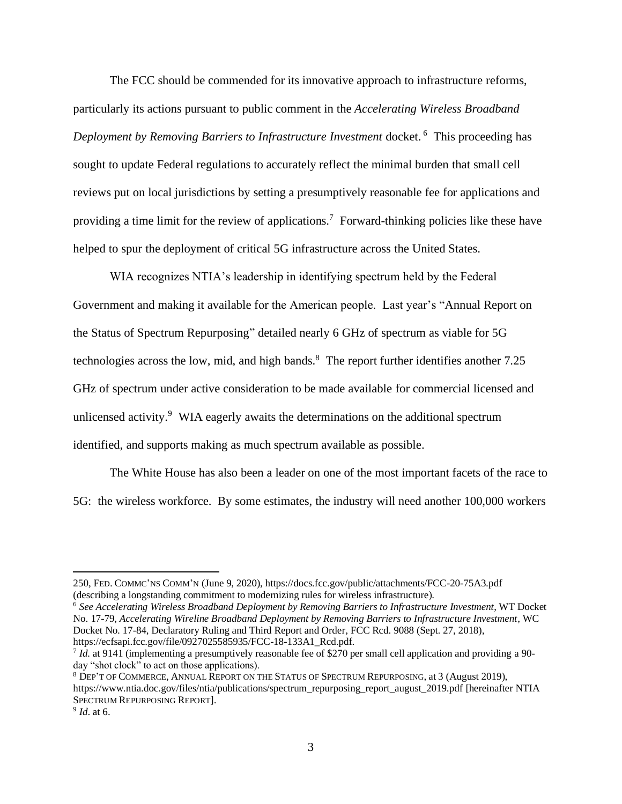The FCC should be commended for its innovative approach to infrastructure reforms, particularly its actions pursuant to public comment in the *Accelerating Wireless Broadband Deployment by Removing Barriers to Infrastructure Investment* docket. <sup>6</sup> This proceeding has sought to update Federal regulations to accurately reflect the minimal burden that small cell reviews put on local jurisdictions by setting a presumptively reasonable fee for applications and providing a time limit for the review of applications.<sup>7</sup> Forward-thinking policies like these have helped to spur the deployment of critical 5G infrastructure across the United States.

WIA recognizes NTIA's leadership in identifying spectrum held by the Federal Government and making it available for the American people. Last year's "Annual Report on the Status of Spectrum Repurposing" detailed nearly 6 GHz of spectrum as viable for 5G technologies across the low, mid, and high bands.<sup>8</sup> The report further identifies another 7.25 GHz of spectrum under active consideration to be made available for commercial licensed and unlicensed activity.<sup>9</sup> WIA eagerly awaits the determinations on the additional spectrum identified, and supports making as much spectrum available as possible.

The White House has also been a leader on one of the most important facets of the race to 5G: the wireless workforce. By some estimates, the industry will need another 100,000 workers

<sup>6</sup> *See Accelerating Wireless Broadband Deployment by Removing Barriers to Infrastructure Investment*, WT Docket No. 17-79, *Accelerating Wireline Broadband Deployment by Removing Barriers to Infrastructure Investment*, WC Docket No. 17-84, Declaratory Ruling and Third Report and Order, FCC Rcd. 9088 (Sept. 27, 2018), [https://ecfsapi.fcc.gov/file/0927025585935/FCC-18-133A1\\_Rcd.pdf.](https://ecfsapi.fcc.gov/file/0927025585935/FCC-18-133A1_Rcd.pdf)

<sup>8</sup> DEP'T OF COMMERCE, ANNUAL REPORT ON THE STATUS OF SPECTRUM REPURPOSING, at 3 (August 2019), [https://www.ntia.doc.gov/files/ntia/publications/spectrum\\_repurposing\\_report\\_august\\_2019.pdf](https://www.ntia.doc.gov/files/ntia/publications/spectrum_repurposing_report_august_2019.pdf) [hereinafter NTIA SPECTRUM REPURPOSING REPORT].

<sup>250,</sup> FED. COMMC'NS COMM'N (June 9, 2020),<https://docs.fcc.gov/public/attachments/FCC-20-75A3.pdf> (describing a longstanding commitment to modernizing rules for wireless infrastructure).

<sup>7</sup> *Id.* at 9141 (implementing a presumptively reasonable fee of \$270 per small cell application and providing a 90 day "shot clock" to act on those applications).

<sup>9</sup> *Id*. at 6.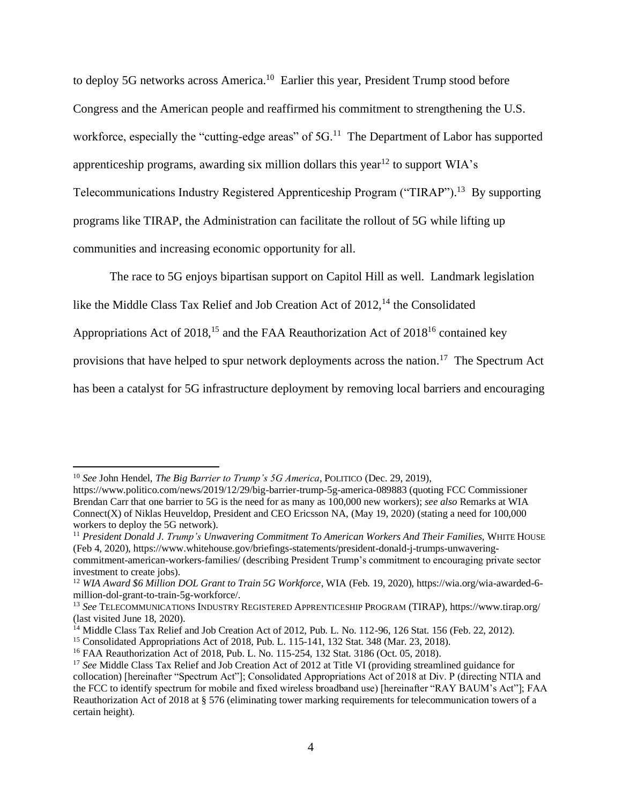to deploy 5G networks across America.<sup>10</sup> Earlier this year, President Trump stood before Congress and the American people and reaffirmed his commitment to strengthening the U.S. workforce, especially the "cutting-edge areas" of 5G.<sup>11</sup> The Department of Labor has supported apprenticeship programs, awarding six million dollars this year<sup>12</sup> to support WIA's Telecommunications Industry Registered Apprenticeship Program ("TIRAP").<sup>13</sup> By supporting programs like TIRAP, the Administration can facilitate the rollout of 5G while lifting up communities and increasing economic opportunity for all.

The race to 5G enjoys bipartisan support on Capitol Hill as well. Landmark legislation

like the Middle Class Tax Relief and Job Creation Act of  $2012$ ,<sup>14</sup> the Consolidated

Appropriations Act of  $2018<sup>15</sup>$  and the FAA Reauthorization Act of  $2018<sup>16</sup>$  contained key

provisions that have helped to spur network deployments across the nation.<sup>17</sup> The Spectrum Act

has been a catalyst for 5G infrastructure deployment by removing local barriers and encouraging

<sup>10</sup> *See* John Hendel, *The Big Barrier to Trump's 5G America*, POLITICO (Dec. 29, 2019),

<https://www.politico.com/news/2019/12/29/big-barrier-trump-5g-america-089883> (quoting FCC Commissioner Brendan Carr that one barrier to 5G is the need for as many as 100,000 new workers); *see also* Remarks at WIA Connect(X) of Niklas Heuveldop, President and CEO Ericsson NA, (May 19, 2020) (stating a need for 100,000 workers to deploy the 5G network).

<sup>11</sup> *President Donald J. Trump's Unwavering Commitment To American Workers And Their Families*, WHITE HOUSE (Feb 4, 2020), [https://www.whitehouse.gov/briefings-statements/president-donald-j-trumps-unwavering](https://www.whitehouse.gov/briefings-statements/president-donald-j-trumps-unwavering-commitment-american-workers-families/)[commitment-american-workers-families/](https://www.whitehouse.gov/briefings-statements/president-donald-j-trumps-unwavering-commitment-american-workers-families/) (describing President Trump's commitment to encouraging private sector

investment to create jobs).

<sup>12</sup> *WIA Award \$6 Million DOL Grant to Train 5G Workforce*, WIA (Feb. 19, 2020), [https://wia.org/wia-awarded-6](https://wia.org/wia-awarded-6-million-dol-grant-to-train-5g-workforce/) [million-dol-grant-to-train-5g-workforce/.](https://wia.org/wia-awarded-6-million-dol-grant-to-train-5g-workforce/)

<sup>13</sup> *See* TELECOMMUNICATIONS INDUSTRY REGISTERED APPRENTICESHIP PROGRAM (TIRAP), <https://www.tirap.org/> (last visited June 18, 2020).

<sup>&</sup>lt;sup>14</sup> Middle Class Tax Relief and Job Creation Act of 2012, Pub. L. No. 112-96, 126 Stat. 156 (Feb. 22, 2012).

<sup>15</sup> Consolidated Appropriations Act of 2018, Pub. L. 115-141, 132 Stat. 348 (Mar. 23, 2018).

<sup>&</sup>lt;sup>16</sup> FAA Reauthorization Act of 2018, Pub. L. No. 115-254, 132 Stat. 3186 (Oct. 05, 2018).

<sup>&</sup>lt;sup>17</sup> See Middle Class Tax Relief and Job Creation Act of 2012 at Title VI (providing streamlined guidance for collocation) [hereinafter "Spectrum Act"]; Consolidated Appropriations Act of 2018 at Div. P (directing NTIA and the FCC to identify spectrum for mobile and fixed wireless broadband use) [hereinafter "RAY BAUM's Act"]; FAA Reauthorization Act of 2018 at § 576 (eliminating tower marking requirements for telecommunication towers of a certain height).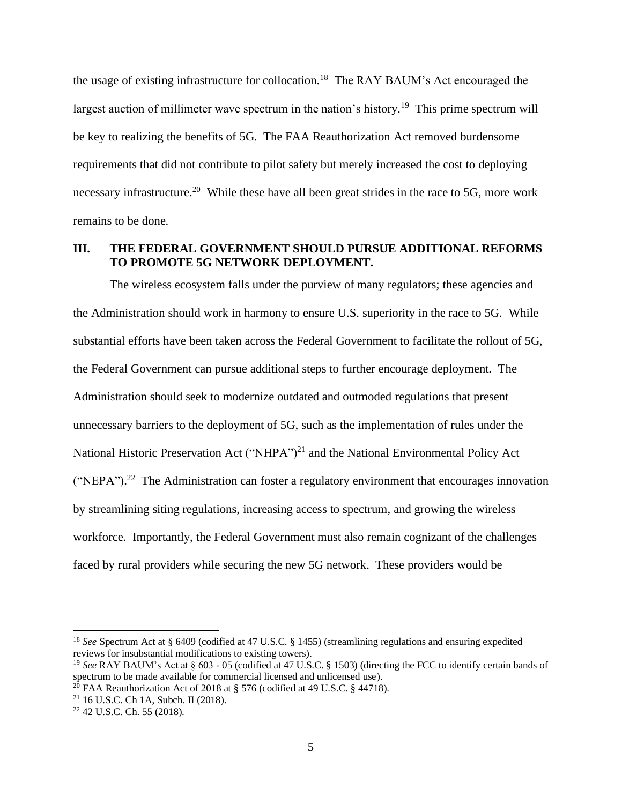the usage of existing infrastructure for collocation.<sup>18</sup> The RAY BAUM's Act encouraged the largest auction of millimeter wave spectrum in the nation's history.<sup>19</sup> This prime spectrum will be key to realizing the benefits of 5G. The FAA Reauthorization Act removed burdensome requirements that did not contribute to pilot safety but merely increased the cost to deploying necessary infrastructure.<sup>20</sup> While these have all been great strides in the race to 5G, more work remains to be done.

### <span id="page-6-0"></span>**III. THE FEDERAL GOVERNMENT SHOULD PURSUE ADDITIONAL REFORMS TO PROMOTE 5G NETWORK DEPLOYMENT.**

The wireless ecosystem falls under the purview of many regulators; these agencies and the Administration should work in harmony to ensure U.S. superiority in the race to 5G. While substantial efforts have been taken across the Federal Government to facilitate the rollout of 5G, the Federal Government can pursue additional steps to further encourage deployment. The Administration should seek to modernize outdated and outmoded regulations that present unnecessary barriers to the deployment of 5G, such as the implementation of rules under the National Historic Preservation Act ("NHPA")<sup>21</sup> and the National Environmental Policy Act ("NEPA").<sup>22</sup> The Administration can foster a regulatory environment that encourages innovation by streamlining siting regulations, increasing access to spectrum, and growing the wireless workforce. Importantly, the Federal Government must also remain cognizant of the challenges faced by rural providers while securing the new 5G network. These providers would be

<sup>18</sup> *See* Spectrum Act at § 6409 (codified at 47 U.S.C. § 1455) (streamlining regulations and ensuring expedited reviews for insubstantial modifications to existing towers).

<sup>&</sup>lt;sup>19</sup> See RAY BAUM's Act at § 603 - 05 (codified at 47 U.S.C. § 1503) (directing the FCC to identify certain bands of spectrum to be made available for commercial licensed and unlicensed use).

<sup>&</sup>lt;sup>20</sup> FAA Reauthorization Act of 2018 at § 576 (codified at 49 U.S.C. § 44718).

<sup>21</sup> 16 U.S.C. Ch 1A, Subch. II (2018).

<sup>22</sup> 42 U.S.C. Ch. 55 (2018).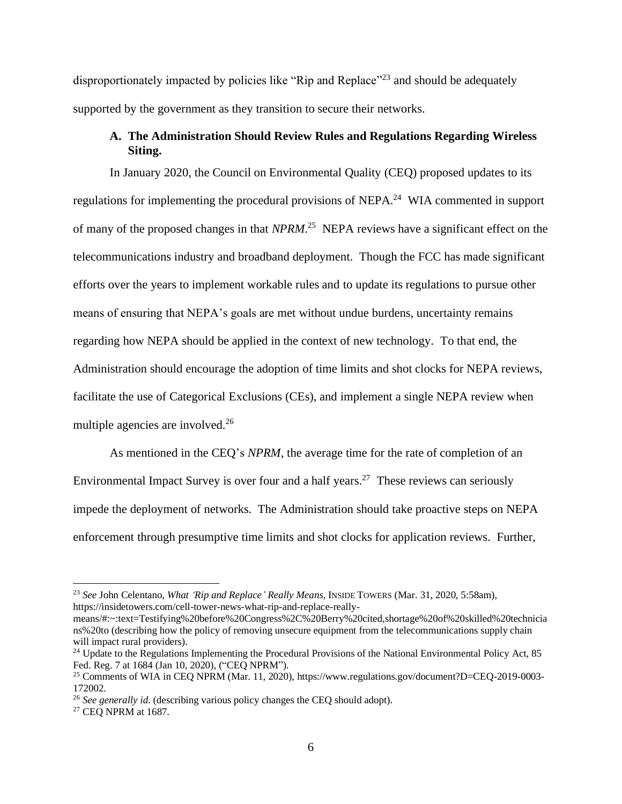disproportionately impacted by policies like "Rip and Replace"<sup>23</sup> and should be adequately supported by the government as they transition to secure their networks.

### **A. The Administration Should Review Rules and Regulations Regarding Wireless Siting.**

<span id="page-7-0"></span>In January 2020, the Council on Environmental Quality (CEQ) proposed updates to its regulations for implementing the procedural provisions of NEPA.<sup>24</sup> WIA commented in support of many of the proposed changes in that *NPRM*. 25 NEPA reviews have a significant effect on the telecommunications industry and broadband deployment. Though the FCC has made significant efforts over the years to implement workable rules and to update its regulations to pursue other means of ensuring that NEPA's goals are met without undue burdens, uncertainty remains regarding how NEPA should be applied in the context of new technology. To that end, the Administration should encourage the adoption of time limits and shot clocks for NEPA reviews, facilitate the use of Categorical Exclusions (CEs), and implement a single NEPA review when multiple agencies are involved.<sup>26</sup>

As mentioned in the CEQ's *NPRM*, the average time for the rate of completion of an Environmental Impact Survey is over four and a half years.<sup>27</sup> These reviews can seriously impede the deployment of networks. The Administration should take proactive steps on NEPA enforcement through presumptive time limits and shot clocks for application reviews. Further,

<sup>23</sup> *See* John Celentano, *What 'Rip and Replace' Really Means*, INSIDE TOWERS (Mar. 31, 2020, 5:58am), [https://insidetowers.com/cell-tower-news-what-rip-and-replace-really-](https://insidetowers.com/cell-tower-news-what-rip-and-replace-really-means/#:~:text=Testifying%20before%20Congress%2C%20Berry%20cited,shortage%20of%20skilled%20technicians%20to)

[means/#:~:text=Testifying%20before%20Congress%2C%20Berry%20cited,shortage%20of%20skilled%20technicia](https://insidetowers.com/cell-tower-news-what-rip-and-replace-really-means/#:~:text=Testifying%20before%20Congress%2C%20Berry%20cited,shortage%20of%20skilled%20technicians%20to) [ns%20to](https://insidetowers.com/cell-tower-news-what-rip-and-replace-really-means/#:~:text=Testifying%20before%20Congress%2C%20Berry%20cited,shortage%20of%20skilled%20technicians%20to) (describing how the policy of removing unsecure equipment from the telecommunications supply chain will impact rural providers).

<sup>&</sup>lt;sup>24</sup> Update to the Regulations Implementing the Procedural Provisions of the National Environmental Policy Act, 85 Fed. Reg. 7 at 1684 (Jan 10, 2020), ("CEQ NPRM").

<sup>25</sup> Comments of WIA in CEQ NPRM (Mar. 11, 2020), [https://www.regulations.gov/document?D=CEQ-2019-0003-](https://www.regulations.gov/document?D=CEQ-2019-0003-172002) [172002.](https://www.regulations.gov/document?D=CEQ-2019-0003-172002)

<sup>26</sup> *See generally id*. (describing various policy changes the CEQ should adopt).

<sup>&</sup>lt;sup>27</sup> CEO NPRM at 1687.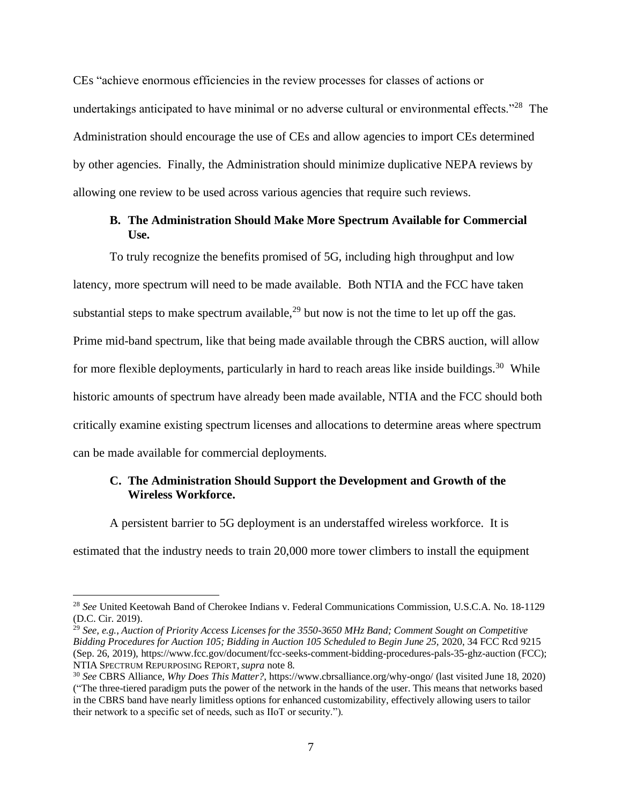CEs "achieve enormous efficiencies in the review processes for classes of actions or undertakings anticipated to have minimal or no adverse cultural or environmental effects."<sup>28</sup> The Administration should encourage the use of CEs and allow agencies to import CEs determined by other agencies. Finally, the Administration should minimize duplicative NEPA reviews by allowing one review to be used across various agencies that require such reviews.

### **B. The Administration Should Make More Spectrum Available for Commercial Use.**

<span id="page-8-0"></span>To truly recognize the benefits promised of 5G, including high throughput and low latency, more spectrum will need to be made available. Both NTIA and the FCC have taken substantial steps to make spectrum available,  $29$  but now is not the time to let up off the gas. Prime mid-band spectrum, like that being made available through the CBRS auction, will allow for more flexible deployments, particularly in hard to reach areas like inside buildings.<sup>30</sup> While historic amounts of spectrum have already been made available, NTIA and the FCC should both critically examine existing spectrum licenses and allocations to determine areas where spectrum can be made available for commercial deployments.

### <span id="page-8-1"></span>**C. The Administration Should Support the Development and Growth of the Wireless Workforce.**

A persistent barrier to 5G deployment is an understaffed wireless workforce. It is

estimated that the industry needs to train 20,000 more tower climbers to install the equipment

<sup>28</sup> *See* United Keetowah Band of Cherokee Indians v. Federal Communications Commission, U.S.C.A. No. 18-1129 (D.C. Cir. 2019).

<sup>29</sup> *See, e.g.*, *Auction of Priority Access Licenses for the 3550-3650 MHz Band; Comment Sought on Competitive Bidding Procedures for Auction 105; Bidding in Auction 105 Scheduled to Begin June 25,* 2020, 34 FCC Rcd 9215 (Sep. 26, 2019)[, https://www.fcc.gov/document/fcc-seeks-comment-bidding-procedures-pals-35-ghz-auction](https://www.fcc.gov/document/fcc-seeks-comment-bidding-procedures-pals-35-ghz-auction) (FCC); NTIA SPECTRUM REPURPOSING REPORT, *supra* note 8.

<sup>30</sup> *See* CBRS Alliance, *Why Does This Matter?*[, https://www.cbrsalliance.org/why-ongo/](https://www.cbrsalliance.org/why-ongo/) (last visited June 18, 2020) ("The three-tiered paradigm puts the power of the network in the hands of the user. This means that networks based in the CBRS band have nearly limitless options for enhanced customizability, effectively allowing users to tailor their network to a specific set of needs, such as IIoT or security.").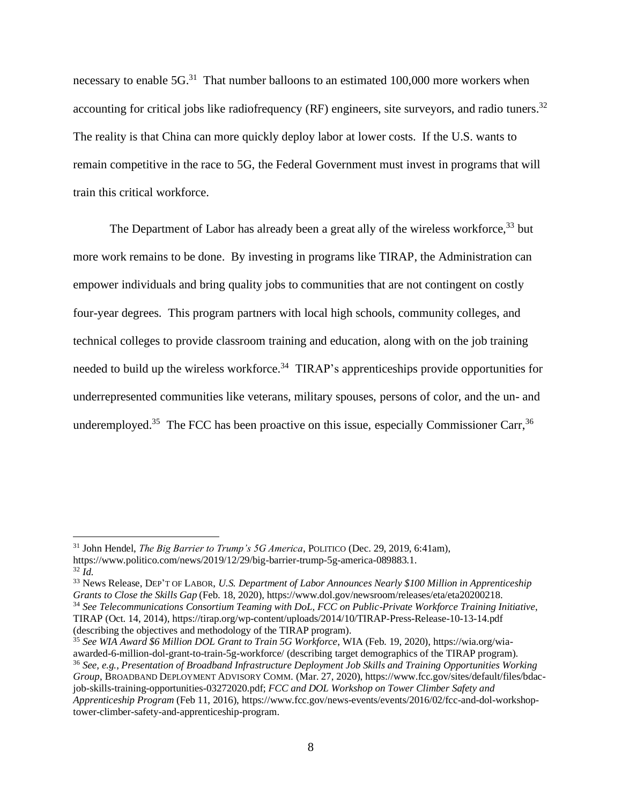necessary to enable 5G.<sup>31</sup> That number balloons to an estimated 100,000 more workers when accounting for critical jobs like radiofrequency (RF) engineers, site surveyors, and radio tuners.<sup>32</sup> The reality is that China can more quickly deploy labor at lower costs. If the U.S. wants to remain competitive in the race to 5G, the Federal Government must invest in programs that will train this critical workforce.

The Department of Labor has already been a great ally of the wireless workforce,<sup>33</sup> but more work remains to be done. By investing in programs like TIRAP, the Administration can empower individuals and bring quality jobs to communities that are not contingent on costly four-year degrees. This program partners with local high schools, community colleges, and technical colleges to provide classroom training and education, along with on the job training needed to build up the wireless workforce.<sup>34</sup> TIRAP's apprenticeships provide opportunities for underrepresented communities like veterans, military spouses, persons of color, and the un- and underemployed.<sup>35</sup> The FCC has been proactive on this issue, especially Commissioner Carr,  $36$ 

<sup>33</sup> News Release, DEP'T OF LABOR, *U.S. Department of Labor Announces Nearly \$100 Million in Apprenticeship Grants to Close the Skills Gap* (Feb. 18, 2020), [https://www.dol.gov/newsroom/releases/eta/eta20200218.](https://www.dol.gov/newsroom/releases/eta/eta20200218) <sup>34</sup> *See Telecommunications Consortium Teaming with DoL, FCC on Public-Private Workforce Training Initiative*,

<sup>31</sup> John Hendel, *The Big Barrier to Trump's 5G America*, POLITICO (Dec. 29, 2019, 6:41am), [https://www.politico.com/news/2019/12/29/big-barrier-trump-5g-america-089883.1.](https://www.politico.com/news/2019/12/29/big-barrier-trump-5g-america-089883.1) <sup>32</sup> *Id.*

TIRAP (Oct. 14, 2014)[, https://tirap.org/wp-content/uploads/2014/10/TIRAP-Press-Release-10-13-14.pdf](https://tirap.org/wp-content/uploads/2014/10/TIRAP-Press-Release-10-13-14.pdf) (describing the objectives and methodology of the TIRAP program).

<sup>35</sup> *See WIA Award \$6 Million DOL Grant to Train 5G Workforce*, WIA (Feb. 19, 2020)[, https://wia.org/wia](https://wia.org/wia-awarded-6-million-dol-grant-to-train-5g-workforce/)[awarded-6-million-dol-grant-to-train-5g-workforce/](https://wia.org/wia-awarded-6-million-dol-grant-to-train-5g-workforce/) (describing target demographics of the TIRAP program).

<sup>36</sup> *See, e.g.*, *Presentation of Broadband Infrastructure Deployment Job Skills and Training Opportunities Working Group*, BROADBAND DEPLOYMENT ADVISORY COMM. (Mar. 27, 2020), [https://www.fcc.gov/sites/default/files/bdac](https://www.fcc.gov/sites/default/files/bdac-job-skills-training-opportunities-03272020.pdf)[job-skills-training-opportunities-03272020.pdf;](https://www.fcc.gov/sites/default/files/bdac-job-skills-training-opportunities-03272020.pdf) *FCC and DOL Workshop on Tower Climber Safety and Apprenticeship Program* (Feb 11, 2016), [https://www.fcc.gov/news-events/events/2016/02/fcc-and-dol-workshop](https://www.fcc.gov/news-events/events/2016/02/fcc-and-dol-workshop-tower-climber-safety-and-apprenticeship-program)[tower-climber-safety-and-apprenticeship-program.](https://www.fcc.gov/news-events/events/2016/02/fcc-and-dol-workshop-tower-climber-safety-and-apprenticeship-program)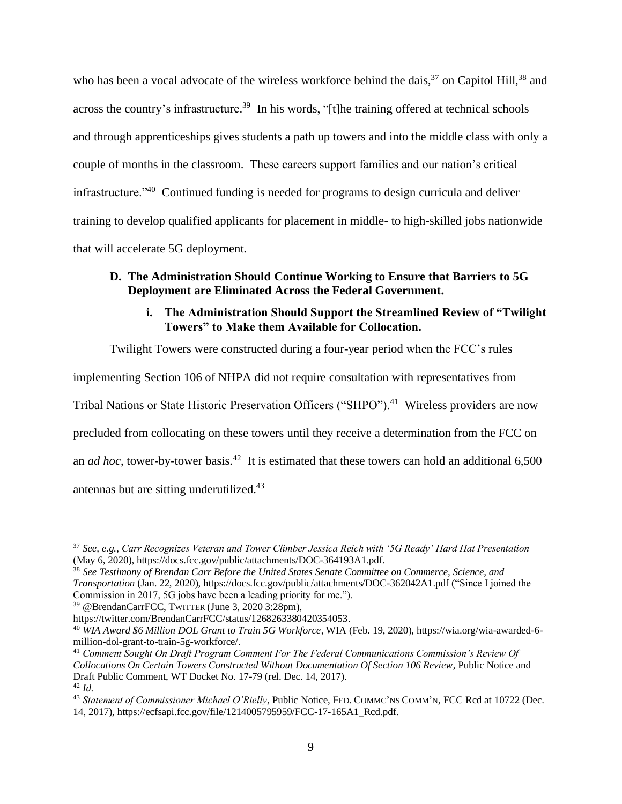who has been a vocal advocate of the wireless workforce behind the dais,<sup>37</sup> on Capitol Hill,<sup>38</sup> and across the country's infrastructure.<sup>39</sup> In his words, "[t]he training offered at technical schools and through apprenticeships gives students a path up towers and into the middle class with only a couple of months in the classroom. These careers support families and our nation's critical infrastructure."<sup>40</sup> Continued funding is needed for programs to design curricula and deliver training to develop qualified applicants for placement in middle- to high-skilled jobs nationwide that will accelerate 5G deployment.

# <span id="page-10-1"></span><span id="page-10-0"></span>**D. The Administration Should Continue Working to Ensure that Barriers to 5G Deployment are Eliminated Across the Federal Government.**

# **i. The Administration Should Support the Streamlined Review of "Twilight Towers" to Make them Available for Collocation.**

Twilight Towers were constructed during a four-year period when the FCC's rules

implementing Section 106 of NHPA did not require consultation with representatives from

Tribal Nations or State Historic Preservation Officers ("SHPO").<sup>41</sup> Wireless providers are now

precluded from collocating on these towers until they receive a determination from the FCC on

an *ad hoc*, tower-by-tower basis.<sup>42</sup> It is estimated that these towers can hold an additional 6,500

antennas but are sitting underutilized.<sup>43</sup>

<sup>37</sup> *See, e.g.*, *Carr Recognizes Veteran and Tower Climber Jessica Reich with '5G Ready' Hard Hat Presentation* (May 6, 2020)[, https://docs.fcc.gov/public/attachments/DOC-364193A1.pdf.](https://docs.fcc.gov/public/attachments/DOC-364193A1.pdf)

<sup>38</sup> *See Testimony of Brendan Carr Before the United States Senate Committee on Commerce, Science, and Transportation* (Jan. 22, 2020),<https://docs.fcc.gov/public/attachments/DOC-362042A1.pdf> ("Since I joined the Commission in 2017, 5G jobs have been a leading priority for me.").

<sup>39</sup> @BrendanCarrFCC, TWITTER (June 3, 2020 3:28pm),

[https://twitter.com/BrendanCarrFCC/status/1268263380420354053.](https://twitter.com/BrendanCarrFCC/status/1268263380420354053)

<sup>40</sup> *WIA Award \$6 Million DOL Grant to Train 5G Workforce*, WIA (Feb. 19, 2020), [https://wia.org/wia-awarded-6](https://wia.org/wia-awarded-6-million-dol-grant-to-train-5g-workforce/) [million-dol-grant-to-train-5g-workforce/.](https://wia.org/wia-awarded-6-million-dol-grant-to-train-5g-workforce/)

<sup>41</sup> *Comment Sought On Draft Program Comment For The Federal Communications Commission's Review Of Collocations On Certain Towers Constructed Without Documentation Of Section 106 Review*, Public Notice and Draft Public Comment, WT Docket No. 17-79 (rel. Dec. 14, 2017). <sup>42</sup> *Id.*

<sup>43</sup> *Statement of Commissioner Michael O'Rielly,* Public Notice, FED. COMMC'NS COMM'N, FCC Rcd at 10722 (Dec. 14, 2017), [https://ecfsapi.fcc.gov/file/1214005795959/FCC-17-165A1\\_Rcd.pdf.](https://ecfsapi.fcc.gov/file/1214005795959/FCC-17-165A1_Rcd.pdf)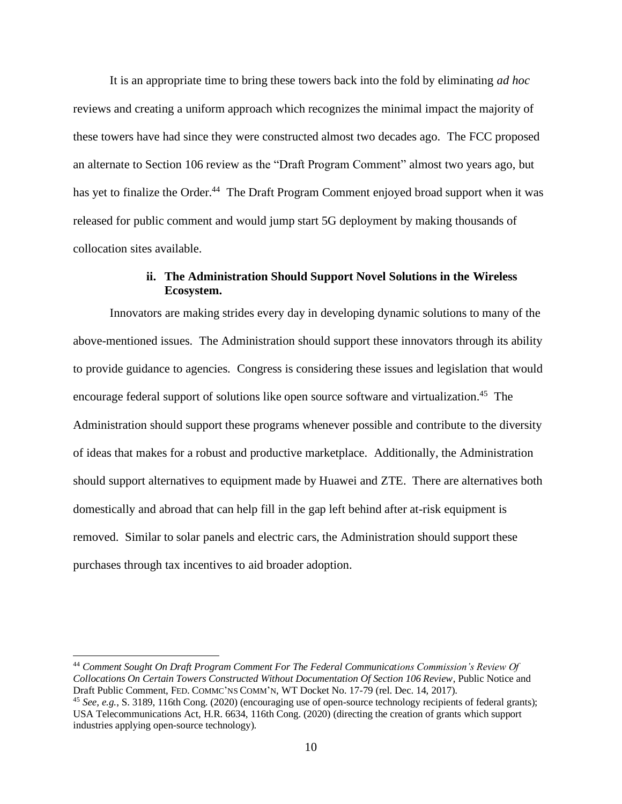It is an appropriate time to bring these towers back into the fold by eliminating *ad hoc* reviews and creating a uniform approach which recognizes the minimal impact the majority of these towers have had since they were constructed almost two decades ago. The FCC proposed an alternate to Section 106 review as the "Draft Program Comment" almost two years ago, but has yet to finalize the Order.<sup>44</sup> The Draft Program Comment enjoyed broad support when it was released for public comment and would jump start 5G deployment by making thousands of collocation sites available.

# **ii. The Administration Should Support Novel Solutions in the Wireless Ecosystem.**

<span id="page-11-0"></span>Innovators are making strides every day in developing dynamic solutions to many of the above-mentioned issues. The Administration should support these innovators through its ability to provide guidance to agencies. Congress is considering these issues and legislation that would encourage federal support of solutions like open source software and virtualization.<sup>45</sup> The Administration should support these programs whenever possible and contribute to the diversity of ideas that makes for a robust and productive marketplace. Additionally, the Administration should support alternatives to equipment made by Huawei and ZTE. There are alternatives both domestically and abroad that can help fill in the gap left behind after at-risk equipment is removed. Similar to solar panels and electric cars, the Administration should support these purchases through tax incentives to aid broader adoption.

<sup>44</sup> *Comment Sought On Draft Program Comment For The Federal Communications Commission's Review Of Collocations On Certain Towers Constructed Without Documentation Of Section 106 Review*, Public Notice and Draft Public Comment, FED. COMMC'NS COMM'N, WT Docket No. 17-79 (rel. Dec. 14, 2017).

<sup>45</sup> *See, e.g.*, S. 3189, 116th Cong. (2020) (encouraging use of open-source technology recipients of federal grants); USA Telecommunications Act, H.R. 6634, 116th Cong. (2020) (directing the creation of grants which support industries applying open-source technology).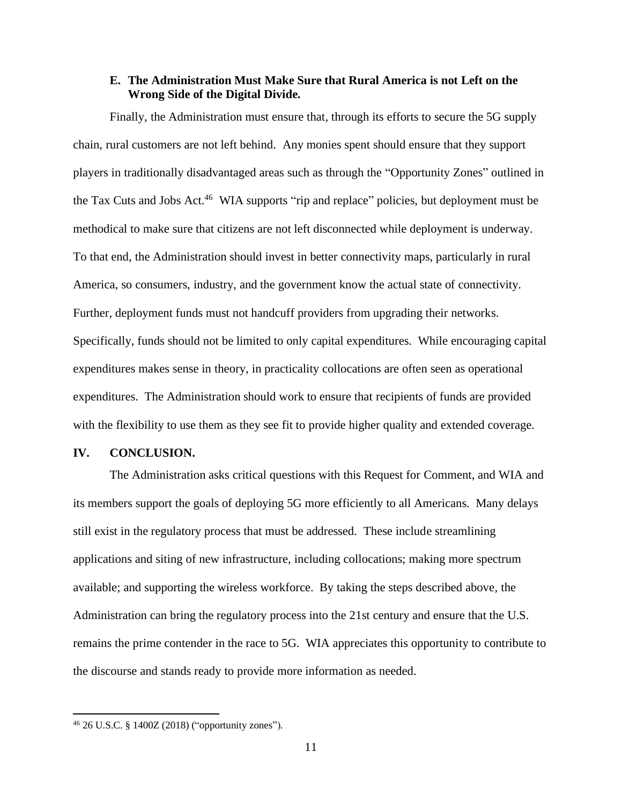#### **E. The Administration Must Make Sure that Rural America is not Left on the Wrong Side of the Digital Divide.**

<span id="page-12-0"></span>Finally, the Administration must ensure that, through its efforts to secure the 5G supply chain, rural customers are not left behind. Any monies spent should ensure that they support players in traditionally disadvantaged areas such as through the "Opportunity Zones" outlined in the Tax Cuts and Jobs Act.<sup>46</sup> WIA supports "rip and replace" policies, but deployment must be methodical to make sure that citizens are not left disconnected while deployment is underway. To that end, the Administration should invest in better connectivity maps, particularly in rural America, so consumers, industry, and the government know the actual state of connectivity. Further, deployment funds must not handcuff providers from upgrading their networks. Specifically, funds should not be limited to only capital expenditures. While encouraging capital expenditures makes sense in theory, in practicality collocations are often seen as operational expenditures. The Administration should work to ensure that recipients of funds are provided with the flexibility to use them as they see fit to provide higher quality and extended coverage.

#### <span id="page-12-1"></span>**IV. CONCLUSION.**

The Administration asks critical questions with this Request for Comment, and WIA and its members support the goals of deploying 5G more efficiently to all Americans. Many delays still exist in the regulatory process that must be addressed. These include streamlining applications and siting of new infrastructure, including collocations; making more spectrum available; and supporting the wireless workforce. By taking the steps described above, the Administration can bring the regulatory process into the 21st century and ensure that the U.S. remains the prime contender in the race to 5G. WIA appreciates this opportunity to contribute to the discourse and stands ready to provide more information as needed.

<sup>46</sup> 26 U.S.C. § 1400Z (2018) ("opportunity zones").